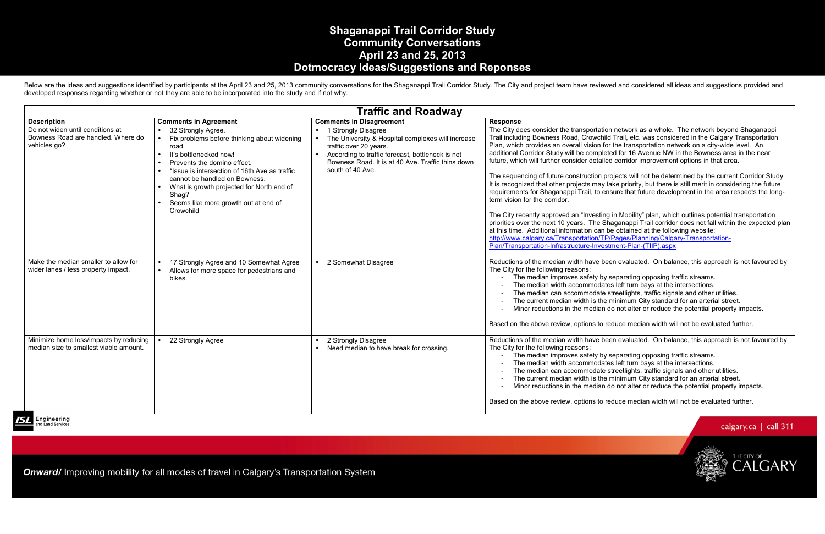## **Shaganappi Trail Corridor Study Community Conversations April 23 and 25, 2013 Dotmocracy Ideas/Suggestions and Reponses**

Below are the ideas and suggestions identified by participants at the April 23 and 25, 2013 community conversations for the Shaganappi Trail Corridor Study. The City and project team have reviewed and considered all ideas developed responses regarding whether or not they are able to be incorporated into the study and if not why.

|                                                                                        |                                                                                                                                                                                                                                                                                                                                               | <b>Traffic and Roadway</b>                                                                                                                                                                                                      |                                                                                                                                                                                                                                                                                                                                                                                                                                                                                                                                                                                                                        |  |
|----------------------------------------------------------------------------------------|-----------------------------------------------------------------------------------------------------------------------------------------------------------------------------------------------------------------------------------------------------------------------------------------------------------------------------------------------|---------------------------------------------------------------------------------------------------------------------------------------------------------------------------------------------------------------------------------|------------------------------------------------------------------------------------------------------------------------------------------------------------------------------------------------------------------------------------------------------------------------------------------------------------------------------------------------------------------------------------------------------------------------------------------------------------------------------------------------------------------------------------------------------------------------------------------------------------------------|--|
| <b>Description</b>                                                                     | <b>Comments in Agreement</b>                                                                                                                                                                                                                                                                                                                  | <b>Comments in Disagreement</b>                                                                                                                                                                                                 | <b>Response</b>                                                                                                                                                                                                                                                                                                                                                                                                                                                                                                                                                                                                        |  |
| Do not widen until conditions at<br>Bowness Road are handled. Where do<br>vehicles go? | 32 Strongly Agree.<br>Fix problems before thinking about widening<br>road.<br>It's bottlenecked now!<br>$\bullet$<br>Prevents the domino effect.<br>*Issue is intersection of 16th Ave as traffic<br>cannot be handled on Bowness.<br>What is growth projected for North end of<br>Shag?<br>Seems like more growth out at end of<br>Crowchild | 1 Strongly Disagree<br>The University & Hospital complexes will increase<br>traffic over 20 years.<br>According to traffic forecast, bottleneck is not<br>Bowness Road. It is at 40 Ave. Traffic thins down<br>south of 40 Ave. | The City does consider the transportation<br>Trail including Bowness Road, Crowchi<br>Plan, which provides an overall vision fo<br>additional Corridor Study will be comple<br>future, which will further consider detail<br>The sequencing of future construction p<br>It is recognized that other projects may<br>requirements for Shaganappi Trail, to e<br>term vision for the corridor.<br>The City recently approved an "Investin<br>priorities over the next 10 years. The S<br>at this time. Additional information can<br>http://www.calgary.ca/Transportation/Tl<br>Plan/Transportation-Infrastructure-Inves |  |
| Make the median smaller to allow for<br>wider lanes / less property impact.            | 17 Strongly Agree and 10 Somewhat Agree<br>Allows for more space for pedestrians and<br>bikes.                                                                                                                                                                                                                                                | 2 Somewhat Disagree                                                                                                                                                                                                             | Reductions of the median width have be<br>The City for the following reasons:<br>The median improves safety by<br>The median width accommodat<br>The median can accommodate<br>The current median width is the<br>Minor reductions in the median<br>Based on the above review, options to                                                                                                                                                                                                                                                                                                                              |  |
| Minimize home loss/impacts by reducing<br>median size to smallest viable amount.       | 22 Strongly Agree                                                                                                                                                                                                                                                                                                                             | 2 Strongly Disagree<br>Need median to have break for crossing.                                                                                                                                                                  | Reductions of the median width have be<br>The City for the following reasons:<br>The median improves safety by<br>The median width accommodat<br>The median can accommodate<br>The current median width is the<br>Minor reductions in the median<br>Based on the above review, options to                                                                                                                                                                                                                                                                                                                              |  |

Engineering d Land Services

**Onward/** Improving mobility for all modes of travel in Calgary's Transportation System

ion network as a whole. The network beyond Shaganappi Trail including Bowness Road, Crowchild Trail, etc. was considered in the Calgary Transportation For the transportation network on a city-wide level. An additional Corridor Study will be completed for 16 Avenue NW in the Bowness area in the near led corridor improvement options in that area.

projects will not be determined by the current Corridor Study. It take priority, but there is still merit in considering the future requirements for Shaganappi Trail, to ensure that future development in the area respects the long-

In Mobility" plan, which outlines potential transportation priorities over the next 10 years. The Shaganappi Trail corridor does not fall within the expected plan be obtained at the following website: http://www.calgary.ca/Transportation/TP/Pages/Planning/Calgary-Transportationstment-Plan-(TIIP).aspx

een evaluated. On balance, this approach is not favoured by

y separating opposing traffic streams. - The median width accommodates left turn bays at the intersections. - The median can accommodate streetlights, traffic signals and other utilities. - The current median width is the minimum City standard for an arterial street. - Minor reductions in the median do not alter or reduce the potential property impacts.

reduce median width will not be evaluated further.

een evaluated. On balance, this approach is not favoured by

y separating opposing traffic streams.

tes left turn bays at the intersections.

- The median can accommodate streetlights, traffic signals and other utilities.

- The current median width is the minimum City standard for an arterial street.

- Minor reductions in the median do not alter or reduce the potential property impacts.

reduce median width will not be evaluated further.

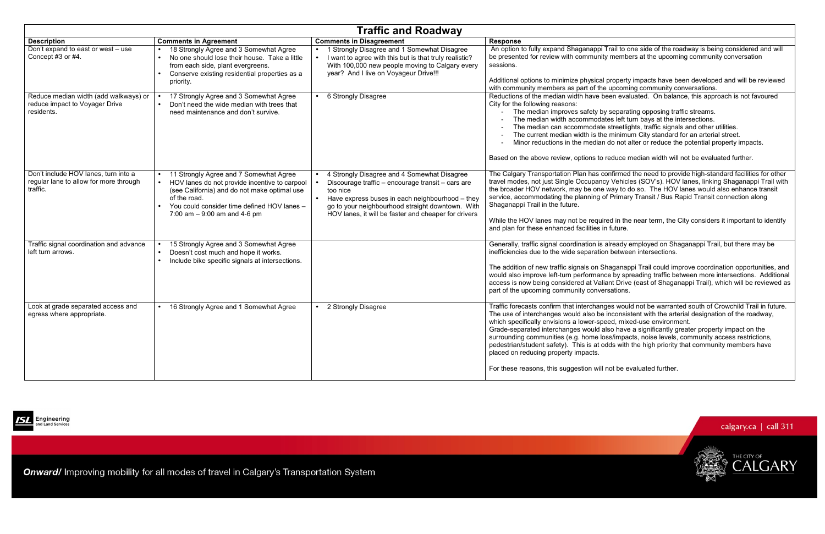

| <b>Traffic and Roadway</b>                                                                 |                                                                                                                                                                                                                                                      |                                                                                                                                                                                                                                                                             |                                                                                                                                                                                                                                                                                                                                                                                                                                                                                                                                                                                                                                                                                              |
|--------------------------------------------------------------------------------------------|------------------------------------------------------------------------------------------------------------------------------------------------------------------------------------------------------------------------------------------------------|-----------------------------------------------------------------------------------------------------------------------------------------------------------------------------------------------------------------------------------------------------------------------------|----------------------------------------------------------------------------------------------------------------------------------------------------------------------------------------------------------------------------------------------------------------------------------------------------------------------------------------------------------------------------------------------------------------------------------------------------------------------------------------------------------------------------------------------------------------------------------------------------------------------------------------------------------------------------------------------|
| <b>Description</b>                                                                         | <b>Comments in Agreement</b>                                                                                                                                                                                                                         | <b>Comments in Disagreement</b>                                                                                                                                                                                                                                             | <b>Response</b>                                                                                                                                                                                                                                                                                                                                                                                                                                                                                                                                                                                                                                                                              |
| Don't expand to east or west - use<br>Concept #3 or #4.                                    | 18 Strongly Agree and 3 Somewhat Agree<br>No one should lose their house. Take a little<br>$\bullet$<br>from each side, plant evergreens.<br>Conserve existing residential properties as a<br>priority.                                              | Strongly Disagree and 1 Somewhat Disagree<br>I want to agree with this but is that truly realistic?<br>With 100,000 new people moving to Calgary every<br>year? And I live on Voyageur Drive!!!                                                                             | An option to fully expand Shaganappi Trail to one side of the roadway is being considered and wi<br>be presented for review with community members at the upcoming community conversation<br>sessions.<br>Additional options to minimize physical property impacts have been developed and will be review<br>with community members as part of the upcoming community conversations.                                                                                                                                                                                                                                                                                                         |
| Reduce median width (add walkways) or<br>reduce impact to Voyager Drive<br>residents.      | 17 Strongly Agree and 3 Somewhat Agree<br>Don't need the wide median with trees that<br>need maintenance and don't survive.                                                                                                                          | 6 Strongly Disagree                                                                                                                                                                                                                                                         | Reductions of the median width have been evaluated. On balance, this approach is not favoured<br>City for the following reasons:<br>The median improves safety by separating opposing traffic streams.<br>The median width accommodates left turn bays at the intersections.<br>The median can accommodate streetlights, traffic signals and other utilities.<br>The current median width is the minimum City standard for an arterial street.<br>Minor reductions in the median do not alter or reduce the potential property impacts.<br>Based on the above review, options to reduce median width will not be evaluated further.                                                          |
| Don't include HOV lanes, turn into a<br>regular lane to allow for more through<br>traffic. | 11 Strongly Agree and 7 Somewhat Agree<br>HOV lanes do not provide incentive to carpool<br>$\bullet$<br>(see California) and do not make optimal use<br>of the road.<br>You could consider time defined HOV lanes -<br>7:00 am $-9:00$ am and 4-6 pm | 4 Strongly Disagree and 4 Somewhat Disagree<br>Discourage traffic - encourage transit - cars are<br>too nice<br>Have express buses in each neighbourhood - they<br>go to your neighbourhood straight downtown. With<br>HOV lanes, it will be faster and cheaper for drivers | The Calgary Transportation Plan has confirmed the need to provide high-standard facilities for oth<br>travel modes, not just Single Occupancy Vehicles (SOV's). HOV lanes, linking Shaganappi Trail w<br>the broader HOV network, may be one way to do so. The HOV lanes would also enhance transit<br>service, accommodating the planning of Primary Transit / Bus Rapid Transit connection along<br>Shaganappi Trail in the future.<br>While the HOV lanes may not be required in the near term, the City considers it important to ident<br>and plan for these enhanced facilities in future.                                                                                             |
| Traffic signal coordination and advance<br>left turn arrows.                               | 15 Strongly Agree and 3 Somewhat Agree<br>Doesn't cost much and hope it works.<br>$\bullet$<br>Include bike specific signals at intersections.<br>$\bullet$                                                                                          |                                                                                                                                                                                                                                                                             | Generally, traffic signal coordination is already employed on Shaganappi Trail, but there may be<br>inefficiencies due to the wide separation between intersections.<br>The addition of new traffic signals on Shaganappi Trail could improve coordination opportunities, a<br>would also improve left-turn performance by spreading traffic between more intersections. Additic<br>access is now being considered at Valiant Drive (east of Shaganappi Trail), which will be reviewed<br>part of the upcoming community conversations.                                                                                                                                                      |
| Look at grade separated access and<br>egress where appropriate.                            | 16 Strongly Agree and 1 Somewhat Agree<br>$\bullet$                                                                                                                                                                                                  | 2 Strongly Disagree                                                                                                                                                                                                                                                         | Traffic forecasts confirm that interchanges would not be warranted south of Crowchild Trail in futu<br>The use of interchanges would also be inconsistent with the arterial designation of the roadway,<br>which specifically envisions a lower-speed, mixed-use environment.<br>Grade-separated interchanges would also have a significantly greater property impact on the<br>surrounding communities (e.g. home loss/impacts, noise levels, community access restrictions,<br>pedestrian/student safety). This is at odds with the high priority that community members have<br>placed on reducing property impacts.<br>For these reasons, this suggestion will not be evaluated further. |



Onward/ Improving mobility for all modes of travel in Calgary's Transportation System

> ges would not be warranted south of Crowchild Trail in future. inconsistent with the arterial designation of the roadway, eed, mixed-use environment.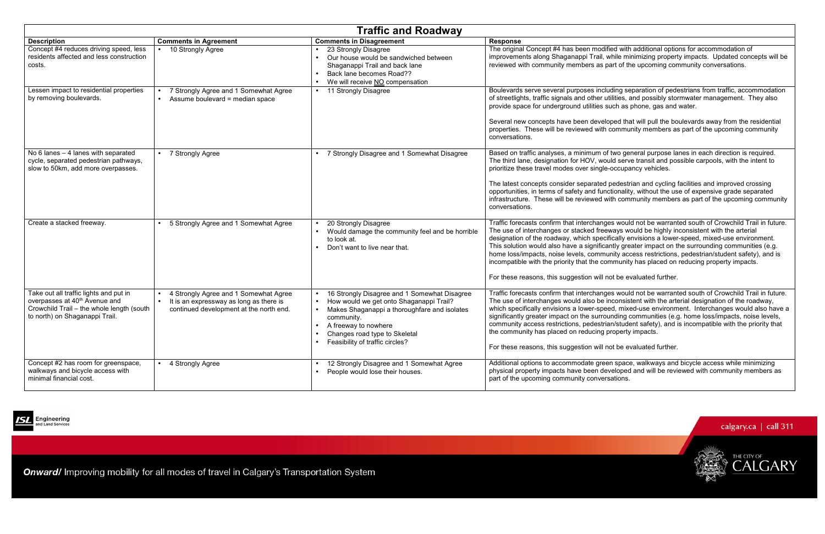d pedestrian and cycling facilities and improved crossing opportunities, in terms of safety and functionality, without the use of expensive grade separated infrastructure. These will be reviewed with community members as part of the upcoming community

ges would not be warranted south of Crowchild Trail in future. eways would be highly inconsistent with the arterial designation of the roadway, which specifically envisions a lower-speed, mixed-use environment. This solution would also have a significantly greater impact on the surrounding communities (e.g. home loss/impacts, noise levels, community access restrictions, pedestrian/student safety), and is ommunity has placed on reducing property impacts.

not be evaluated further.

ges would not be warranted south of Crowchild Trail in future. inconsistent with the arterial designation of the roadway, which specifically envisions a lower-speed, mixed-use environment. Interchanges would also have a ounding communities (e.g. home loss/impacts, noise levels, community access restrictions, pedestrian/student safety), and is incompatible with the priority that property impacts.

not be evaluated further.

en space, walkways and bicycle access while minimizing physical property impacts have been developed and will be reviewed with community members as rsations.



| <b>Traffic and Roadway</b>                                                                                                                                         |                                                                                                                             |                                                                                                                                                                                                                                                   |                                                                                                                                                                                                                                                                                                              |
|--------------------------------------------------------------------------------------------------------------------------------------------------------------------|-----------------------------------------------------------------------------------------------------------------------------|---------------------------------------------------------------------------------------------------------------------------------------------------------------------------------------------------------------------------------------------------|--------------------------------------------------------------------------------------------------------------------------------------------------------------------------------------------------------------------------------------------------------------------------------------------------------------|
| <b>Description</b>                                                                                                                                                 | <b>Comments in Agreement</b>                                                                                                | <b>Comments in Disagreement</b>                                                                                                                                                                                                                   | <b>Response</b>                                                                                                                                                                                                                                                                                              |
| Concept #4 reduces driving speed, less<br>residents affected and less construction<br>costs.                                                                       | 10 Strongly Agree                                                                                                           | 23 Strongly Disagree<br>Our house would be sandwiched between<br>Shaganappi Trail and back lane<br>Back lane becomes Road??<br>We will receive NO compensation                                                                                    | The original Concept #4 has been mod<br>improvements along Shaganappi Trail,<br>reviewed with community members as                                                                                                                                                                                           |
| Lessen impact to residential properties<br>by removing boulevards.                                                                                                 | 7 Strongly Agree and 1 Somewhat Agree<br>Assume boulevard = median space<br>$\bullet$                                       | 11 Strongly Disagree                                                                                                                                                                                                                              | Boulevards serve several purposes inc<br>of streetlights, traffic signals and other<br>provide space for underground utilities<br>Several new concepts have been deve<br>properties. These will be reviewed with<br>conversations.                                                                           |
| No $6$ lanes $-4$ lanes with separated<br>cycle, separated pedestrian pathways,<br>slow to 50km, add more overpasses.                                              | 7 Strongly Agree                                                                                                            | 7 Strongly Disagree and 1 Somewhat Disagree                                                                                                                                                                                                       | Based on traffic analyses, a minimum o<br>The third lane, designation for HOV, wo<br>prioritize these travel modes over single<br>The latest concepts consider separated<br>opportunities, in terms of safety and fur<br>infrastructure. These will be reviewed<br>conversations.                            |
| Create a stacked freeway.                                                                                                                                          | 5 Strongly Agree and 1 Somewhat Agree                                                                                       | 20 Strongly Disagree<br>Would damage the community feel and be horrible<br>to look at.<br>Don't want to live near that.<br>$\bullet$                                                                                                              | Traffic forecasts confirm that interchang<br>The use of interchanges or stacked free<br>designation of the roadway, which speo<br>This solution would also have a signific<br>home loss/impacts, noise levels, comm<br>incompatible with the priority that the co<br>For these reasons, this suggestion will |
| Take out all traffic lights and put in<br>overpasses at 40 <sup>th</sup> Avenue and<br>Crowchild Trail - the whole length (south<br>to north) on Shaganappi Trail. | 4 Strongly Agree and 1 Somewhat Agree<br>It is an expressway as long as there is<br>continued development at the north end. | 16 Strongly Disagree and 1 Somewhat Disagree<br>How would we get onto Shaganappi Trail?<br>Makes Shaganappi a thoroughfare and isolates<br>community.<br>A freeway to nowhere<br>Changes road type to Skeletal<br>Feasibility of traffic circles? | Traffic forecasts confirm that interchang<br>The use of interchanges would also be<br>which specifically envisions a lower-spe<br>significantly greater impact on the surro<br>community access restrictions, pedestr<br>the community has placed on reducing<br>For these reasons, this suggestion will     |
| Concept #2 has room for greenspace,<br>walkways and bicycle access with<br>minimal financial cost.                                                                 | 4 Strongly Agree                                                                                                            | 12 Strongly Disagree and 1 Somewhat Agree<br>People would lose their houses.                                                                                                                                                                      | Additional options to accommodate gre<br>physical property impacts have been do<br>part of the upcoming community conve                                                                                                                                                                                      |



Engineering nt Strip String<br>nd Land Services

Onward/ Improving mobility for all modes of travel in Calgary's Transportation System

Iified with additional options for accommodation of improvements along Shaganappi Trail, while minimizing property impacts. Updated concepts will be part of the upcoming community conversations.

> luding separation of pedestrians from traffic, accommodation utilities, and possibly stormwater management. They also such as phone, gas and water.

loped that will pull the boulevards away from the residential h community members as part of the upcoming community

of two general purpose lanes in each direction is required. ould serve transit and possible carpools, with the intent to e-occupancy vehicles.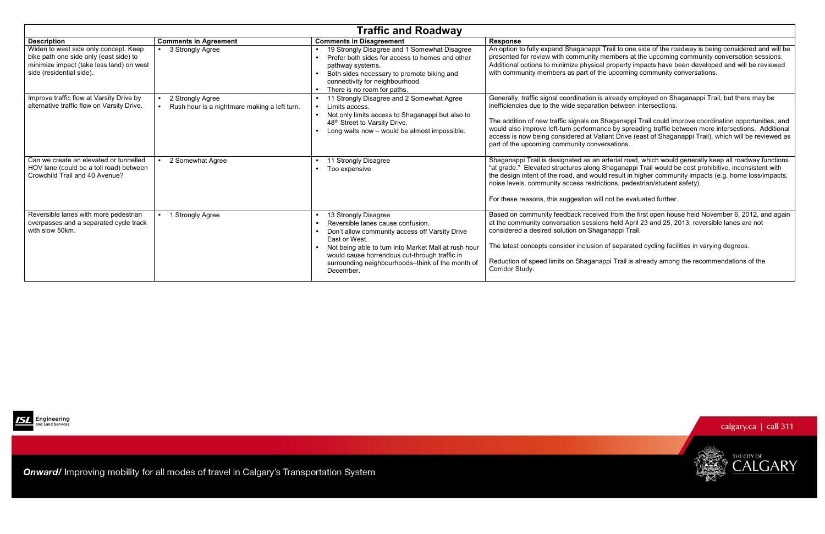| <b>Traffic and Roadway</b>                                                                                                                              |                                                                               |                                                                                                                                                                                                                                                                                                                                  |                                                                                                                                                                                                                                                                      |
|---------------------------------------------------------------------------------------------------------------------------------------------------------|-------------------------------------------------------------------------------|----------------------------------------------------------------------------------------------------------------------------------------------------------------------------------------------------------------------------------------------------------------------------------------------------------------------------------|----------------------------------------------------------------------------------------------------------------------------------------------------------------------------------------------------------------------------------------------------------------------|
| <b>Description</b>                                                                                                                                      | <b>Comments in Agreement</b>                                                  | <b>Comments in Disagreement</b>                                                                                                                                                                                                                                                                                                  | <b>Response</b>                                                                                                                                                                                                                                                      |
| Widen to west side only concept. Keep<br>bike path one side only (east side) to<br>minimize impact (take less land) on west<br>side (residential side). | 3 Strongly Agree<br>$\bullet$                                                 | 19 Strongly Disagree and 1 Somewhat Disagree<br>Prefer both sides for access to homes and other<br>pathway systems.<br>Both sides necessary to promote biking and<br>connectivity for neighbourhood.<br>There is no room for paths.                                                                                              | An option to fully expand Shaganappi T<br>presented for review with community m<br>Additional options to minimize physical<br>with community members as part of the                                                                                                  |
| Improve traffic flow at Varsity Drive by<br>alternative traffic flow on Varsity Drive.                                                                  | 2 Strongly Agree<br>Rush hour is a nightmare making a left turn.<br>$\bullet$ | 11 Strongly Disagree and 2 Somewhat Agree<br>Limits access.<br>$\bullet$<br>Not only limits access to Shaganappi but also to<br>48th Street to Varsity Drive.<br>Long waits now - would be almost impossible.                                                                                                                    | Generally, traffic signal coordination is a<br>inefficiencies due to the wide separation<br>The addition of new traffic signals on SI<br>would also improve left-turn performand<br>access is now being considered at Valia<br>part of the upcoming community conver |
| Can we create an elevated or tunnelled<br>HOV lane (could be a toll road) between<br>Crowchild Trail and 40 Avenue?                                     | 2 Somewhat Agree                                                              | 11 Strongly Disagree<br>Too expensive<br>$\bullet$                                                                                                                                                                                                                                                                               | Shaganappi Trail is designated as an a<br>"at grade." Elevated structures along S<br>the design intent of the road, and would<br>noise levels, community access restrict<br>For these reasons, this suggestion will                                                  |
| Reversible lanes with more pedestrian<br>overpasses and a separated cycle track<br>with slow 50km.                                                      | 1 Strongly Agree                                                              | 13 Strongly Disagree<br>$\bullet$<br>Reversible lanes cause confusion.<br>$\bullet$<br>Don't allow community access off Varsity Drive<br>East or West.<br>Not being able to turn into Market Mall at rush hour<br>would cause horrendous cut-through traffic in<br>surrounding neighbourhoods-think of the month of<br>December. | Based on community feedback receive<br>at the community conversation session<br>considered a desired solution on Shaga<br>The latest concepts consider inclusion<br>Reduction of speed limits on Shaganap<br>Corridor Study.                                         |



Onward/ Improving mobility for all modes of travel in Calgary's Transportation System

Trail to one side of the roadway is being considered and will be nembers at the upcoming community conversation sessions. Additional options to minimize physical property impacts have been developed and will be reviewed upcoming community conversations.

> already employed on Shaganappi Trail, but there may be in between intersections.

haganappi Trail could improve coordination opportunities, and would also improve left-turn performance by spreading traffic between more intersections. Additional access is now being considered at Valiant Drive (east of Shaganappi Trail), which will be reviewed as prsations.

arterial road, which would generally keep all roadway functions Shaganappi Trail would be cost prohibitive, inconsistent with the design intent of the road, and would result in higher community impacts (e.g. home loss/impacts, tions, pedestrian/student safety).

not be evaluated further.

ed from the first open house held November 6, 2012, and again at held April 23 and 25, 2013, reversible lanes are not anappi Trail.

of separated cycling facilities in varying degrees.

ppi Trail is already among the recommendations of the

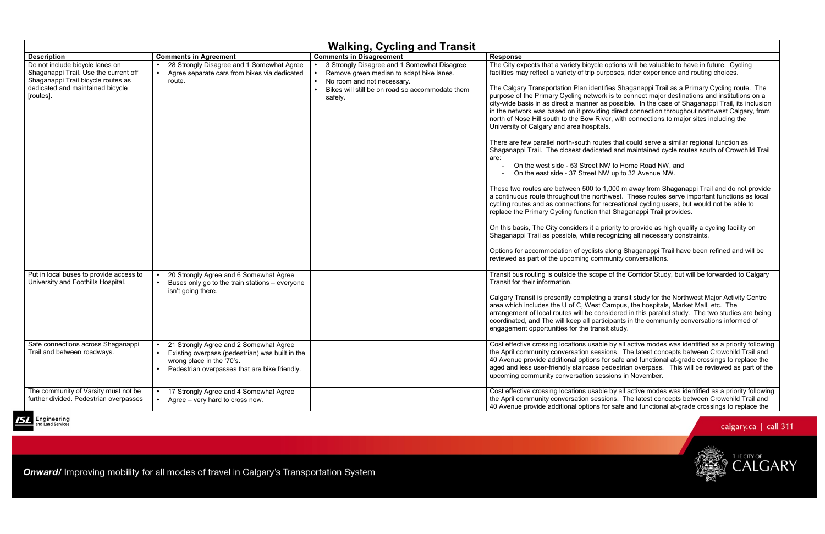es that could serve a similar regional function as Shaganappi Trail. The closest dedicated and maintained cycle routes south of Crowchild Trail

> W to Home Road NW, and W up to 32 Avenue NW.

,000 m away from Shaganappi Trail and do not provide a west. These routes serve important functions as local ecreational cycling users, but would not be able to at Shaganappi Trail provides.

riority to provide as high quality a cycling facility on cognizing all necessary constraints.

along Shaganappi Trail have been refined and will be munity conversations.

|                                                                                                                                                                 |                                                                                                                                                                       | <b>Walking, Cycling and Transit</b>                                                                                                                                                 |                                                                                                                                                                                                                                                                                                                                                                                                                                                                                                                                                                                                                                                                                                                                                                                                                                                                                                                       |  |
|-----------------------------------------------------------------------------------------------------------------------------------------------------------------|-----------------------------------------------------------------------------------------------------------------------------------------------------------------------|-------------------------------------------------------------------------------------------------------------------------------------------------------------------------------------|-----------------------------------------------------------------------------------------------------------------------------------------------------------------------------------------------------------------------------------------------------------------------------------------------------------------------------------------------------------------------------------------------------------------------------------------------------------------------------------------------------------------------------------------------------------------------------------------------------------------------------------------------------------------------------------------------------------------------------------------------------------------------------------------------------------------------------------------------------------------------------------------------------------------------|--|
| <b>Description</b>                                                                                                                                              | <b>Comments in Agreement</b>                                                                                                                                          | <b>Comments in Disagreement</b>                                                                                                                                                     | <b>Response</b>                                                                                                                                                                                                                                                                                                                                                                                                                                                                                                                                                                                                                                                                                                                                                                                                                                                                                                       |  |
| Do not include bicycle lanes on<br>Shaganappi Trail. Use the current off<br>Shaganappi Trail bicycle routes as<br>dedicated and maintained bicycle<br>[routes]. | 28 Strongly Disagree and 1 Somewhat Agree<br>Agree separate cars from bikes via dedicated<br>route.                                                                   | 3 Strongly Disagree and 1 Somewhat Disagree<br>Remove green median to adapt bike lanes.<br>No room and not necessary.<br>Bikes will still be on road so accommodate them<br>safely. | The City expects that a variety bicycle op<br>facilities may reflect a variety of trip purpo<br>The Calgary Transportation Plan identifie<br>purpose of the Primary Cycling network is<br>city-wide basis in as direct a manner as p<br>in the network was based on it providing<br>north of Nose Hill south to the Bow River,<br>University of Calgary and area hospitals.<br>There are few parallel north-south routes<br>Shaganappi Trail. The closest dedicated<br>are:<br>On the west side - 53 Street NW<br>On the east side - 37 Street NW<br>These two routes are between 500 to 1,0<br>a continuous route throughout the northw<br>cycling routes and as connections for rec<br>replace the Primary Cycling function that<br>On this basis, The City considers it a prio<br>Shaganappi Trail as possible, while recog<br>Options for accommodation of cyclists ald<br>reviewed as part of the upcoming commu |  |
| Put in local buses to provide access to<br>University and Foothills Hospital.<br>Safe connections across Shaganappi                                             | 20 Strongly Agree and 6 Somewhat Agree<br>$\bullet$<br>Buses only go to the train stations - everyone<br>isn't going there.<br>21 Strongly Agree and 2 Somewhat Agree |                                                                                                                                                                                     | Transit bus routing is outside the scope o<br>Transit for their information.<br>Calgary Transit is presently completing a<br>area which includes the U of C, West Car<br>arrangement of local routes will be consident<br>coordinated, and The will keep all particip<br>engagement opportunities for the transit s<br>Cost effective crossing locations usable b                                                                                                                                                                                                                                                                                                                                                                                                                                                                                                                                                     |  |
| Trail and between roadways.                                                                                                                                     | Existing overpass (pedestrian) was built in the<br>wrong place in the '70's.<br>Pedestrian overpasses that are bike friendly.                                         |                                                                                                                                                                                     | the April community conversation session<br>40 Avenue provide additional options for<br>aged and less user-friendly staircase ped<br>upcoming community conversation sessio                                                                                                                                                                                                                                                                                                                                                                                                                                                                                                                                                                                                                                                                                                                                           |  |
| The community of Varsity must not be<br>further divided. Pedestrian overpasses                                                                                  | 17 Strongly Agree and 4 Somewhat Agree<br>Agree – very hard to cross now.                                                                                             |                                                                                                                                                                                     | Cost effective crossing locations usable b<br>the April community conversation session<br>40 Avenue provide additional options for                                                                                                                                                                                                                                                                                                                                                                                                                                                                                                                                                                                                                                                                                                                                                                                    |  |



Onward/ Improving mobility for all modes of travel in Calgary's Transportation System

options will be valuable to have in future. Cycling rposes, rider experience and routing choices.

fies Shaganappi Trail as a Primary Cycling route. The purpose of the Primary Cycling network is to connect major destinations and institutions on a city-wide basis in as direct a manner as possible. In the case of Shaganappi Trail, its inclusion in the network was based on it providing direct connection throughout northwest Calgary, from er, with connections to major sites including the

Transit bus routing is outside the scope of the Corridor Study, but will be forwarded to Calgary

a transit study for the Northwest Major Activity Centre Campus, the hospitals, Market Mall, etc. The arrangement of local routes will be considered in this parallel study. The two studies are being icipants in the community conversations informed of sit study.

e by all active modes was identified as a priority following ions. The latest concepts between Crowchild Trail and 40 Avenue provide additional options for safe and functional at-grade crossings to replace the aged and less user-friendly staircase pedestrian overpass. This will be reviewed as part of the sions in November.

e by all active modes was identified as a priority following ions. The latest concepts between Crowchild Trail and 40 Avenue provide additional options for safe and functional at-grade crossings to replace the

## calgary.ca  $\vert$  call 311

CALGARY

THE CITY OF

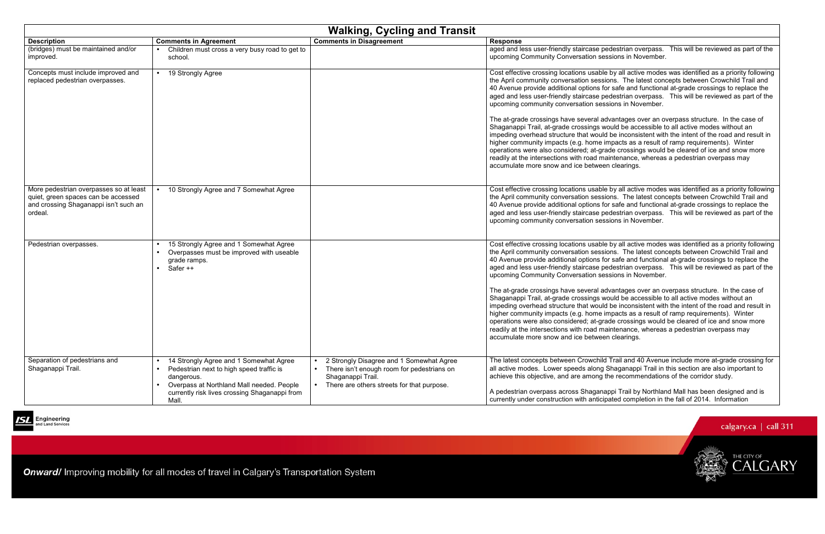| <b>Walking, Cycling and Transit</b>                                                                                               |                                                                                                                                                                                                                                                |                                                                                                                                                           |                                                                                                                                                                                                                                                                                                                                                                                                                                 |
|-----------------------------------------------------------------------------------------------------------------------------------|------------------------------------------------------------------------------------------------------------------------------------------------------------------------------------------------------------------------------------------------|-----------------------------------------------------------------------------------------------------------------------------------------------------------|---------------------------------------------------------------------------------------------------------------------------------------------------------------------------------------------------------------------------------------------------------------------------------------------------------------------------------------------------------------------------------------------------------------------------------|
| <b>Description</b>                                                                                                                | <b>Comments in Agreement</b>                                                                                                                                                                                                                   | <b>Comments in Disagreement</b>                                                                                                                           | <b>Response</b>                                                                                                                                                                                                                                                                                                                                                                                                                 |
| (bridges) must be maintained and/or<br>improved.                                                                                  | Children must cross a very busy road to get to<br>school.                                                                                                                                                                                      |                                                                                                                                                           | aged and less user-friendly staircase p<br>upcoming Community Conversation se                                                                                                                                                                                                                                                                                                                                                   |
| Concepts must include improved and<br>replaced pedestrian overpasses.                                                             | 19 Strongly Agree<br>$\bullet$                                                                                                                                                                                                                 |                                                                                                                                                           | Cost effective crossing locations usable<br>the April community conversation sess<br>40 Avenue provide additional options fo<br>aged and less user-friendly staircase p<br>upcoming community conversation ses<br>The at-grade crossings have several a<br>Shaganappi Trail, at-grade crossings w<br>impeding overhead structure that would<br>higher community impacts (e.g. home i<br>operations were also considered; at-gra |
|                                                                                                                                   |                                                                                                                                                                                                                                                |                                                                                                                                                           | readily at the intersections with road m<br>accumulate more snow and ice betwee                                                                                                                                                                                                                                                                                                                                                 |
| More pedestrian overpasses so at least<br>quiet, green spaces can be accessed<br>and crossing Shaganappi isn't such an<br>ordeal. | 10 Strongly Agree and 7 Somewhat Agree<br>$\bullet$                                                                                                                                                                                            |                                                                                                                                                           | Cost effective crossing locations usable<br>the April community conversation sess<br>40 Avenue provide additional options fo<br>aged and less user-friendly staircase p<br>upcoming community conversation ses                                                                                                                                                                                                                  |
| Pedestrian overpasses.                                                                                                            | 15 Strongly Agree and 1 Somewhat Agree<br>Overpasses must be improved with useable<br>$\bullet$<br>grade ramps.<br>Safer ++<br>$\bullet$                                                                                                       |                                                                                                                                                           | Cost effective crossing locations usable<br>the April community conversation sess<br>40 Avenue provide additional options fo<br>aged and less user-friendly staircase p<br>upcoming Community Conversation se                                                                                                                                                                                                                   |
|                                                                                                                                   |                                                                                                                                                                                                                                                |                                                                                                                                                           | The at-grade crossings have several a<br>Shaganappi Trail, at-grade crossings w<br>impeding overhead structure that would<br>higher community impacts (e.g. home i<br>operations were also considered; at-gra<br>readily at the intersections with road m<br>accumulate more snow and ice betwee                                                                                                                                |
| Separation of pedestrians and<br>Shaganappi Trail.                                                                                | 14 Strongly Agree and 1 Somewhat Agree<br>$\bullet$<br>Pedestrian next to high speed traffic is<br>$\bullet$<br>dangerous.<br>Overpass at Northland Mall needed. People<br>$\bullet$<br>currently risk lives crossing Shaganappi from<br>Mall. | 2 Strongly Disagree and 1 Somewhat Agree<br>There isn't enough room for pedestrians on<br>Shaganappi Trail.<br>There are others streets for that purpose. | The latest concepts between Crowchild<br>all active modes. Lower speeds along<br>achieve this objective, and are among<br>A pedestrian overpass across Shagana<br>currently under construction with antici                                                                                                                                                                                                                      |



Engineering nd Land Services

**Onward/** Improving mobility for all modes of travel in Calgary's Transportation System

edestrian overpass. This will be reviewed as part of the essions in November.

e by all active modes was identified as a priority following ions. The latest concepts between Crowchild Trail and 40 Avenue provide additional options for safe and functional at-grade crossings to replace the aged and less user-friendly staircase pedestrian overpass. This will be reviewed as part of the ssions in November.

dvantages over an overpass structure. In the case of vould be accessible to all active modes without an impeding overhead structure that would be inconsistent with the intent of the road and result in impacts as a result of ramp requirements). Winter operations were also considered; at-grade crossings would be cleared of ice and snow more readitenance, whereas a pedestrian overpass may en clearings.

e by all active modes was identified as a priority following tions. The latest concepts between Crowchild Trail and 40 Avenue provide additional options for safe and functional at-grade crossings to replace the aged and less user-friendly staircase pedestrian overpass. This will be reviewed as part of the ssions in November.

e by all active modes was identified as a priority following ions. The latest concepts between Crowchild Trail and 40 Avenue provide additional options for safe and functional at-grade crossings to replace the aged and less user-friendly staircase pedestrian overpass. This will be reviewed as part of the essions in November.

dvantages over an overpass structure. In the case of vould be accessible to all active modes without an impeding overhead structure that would be inconsistent with the intent of the road and result in impacts as a result of ramp requirements). Winter operations were also considered; at-grade crossings would be cleared of ice and snow more aintenance, whereas a pedestrian overpass may en clearings.

> d Trail and 40 Avenue include more at-grade crossing for Shaganappi Trail in this section are also important to the recommendations of the corridor study.

appi Trail by Northland Mall has been designed and is pated completion in the fall of 2014. Information

## calgary.ca  $\vert$  call 311



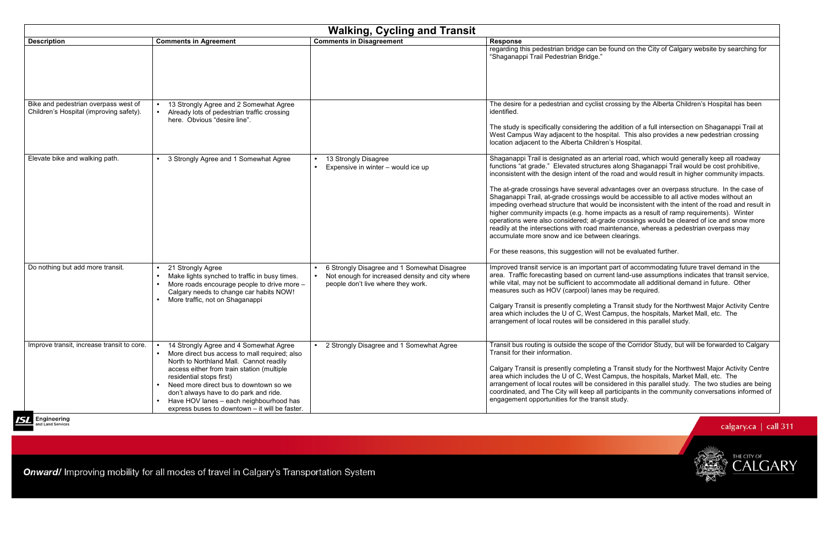arterial road, which would generally keep all roadway functions "at grade." Elevated structures along Shaganappi Trail would be cost prohibitive, inconsistent with the design intent of the road and would result in higher community impacts.

dvantages over an overpass structure. In the case of vould be accessible to all active modes without an impeding overhead structure that would be inconsistent with the intent of the road and result in impacts as a result of ramp requirements). Winter operations were also considered; at-grade crossings would be cleared of ice and snow more raintenance, whereas a pedestrian overpass may en clearings.

not be evaluated further.

Int part of accommodating future travel demand in the area. Traffic forecasting based on current land-use assumptions indicates that transit service, commodate all additional demand in future. Other es may be required.

> g a Transit study for the Northwest Major Activity Centre Campus, the hospitals, Market Mall, etc. The isidered in this parallel study.

> e of the Corridor Study, but will be forwarded to Calgary

g a Transit study for the Northwest Major Activity Centre Campus, the hospitals, Market Mall, etc. The arrangement of local routes will be considered in this parallel study. The two studies are being coordinated, and The City will keep all participants in the community conversations informed of sit study.

calgary.ca | call 311

CALGARY

THE CITY OF



| <b>Walking, Cycling and Transit</b>                                             |                                                                                                                                                                                                                                                                                                                                                                                               |                                                                                                                                      |                                                                                                                                                                                                                                                                                                                                                                                                                                                                             |
|---------------------------------------------------------------------------------|-----------------------------------------------------------------------------------------------------------------------------------------------------------------------------------------------------------------------------------------------------------------------------------------------------------------------------------------------------------------------------------------------|--------------------------------------------------------------------------------------------------------------------------------------|-----------------------------------------------------------------------------------------------------------------------------------------------------------------------------------------------------------------------------------------------------------------------------------------------------------------------------------------------------------------------------------------------------------------------------------------------------------------------------|
| <b>Description</b>                                                              | <b>Comments in Agreement</b>                                                                                                                                                                                                                                                                                                                                                                  | <b>Comments in Disagreement</b>                                                                                                      | <b>Response</b>                                                                                                                                                                                                                                                                                                                                                                                                                                                             |
|                                                                                 |                                                                                                                                                                                                                                                                                                                                                                                               |                                                                                                                                      | regarding this pedestrian bridge can be<br>"Shaganappi Trail Pedestrian Bridge."                                                                                                                                                                                                                                                                                                                                                                                            |
| Bike and pedestrian overpass west of<br>Children's Hospital (improving safety). | 13 Strongly Agree and 2 Somewhat Agree<br>Already lots of pedestrian traffic crossing<br>here. Obvious "desire line".                                                                                                                                                                                                                                                                         |                                                                                                                                      | The desire for a pedestrian and cyclist<br>identified.<br>The study is specifically considering th<br>West Campus Way adjacent to the hos<br>location adjacent to the Alberta Childre                                                                                                                                                                                                                                                                                       |
| Elevate bike and walking path.                                                  | 3 Strongly Agree and 1 Somewhat Agree                                                                                                                                                                                                                                                                                                                                                         | 13 Strongly Disagree<br>Expensive in winter - would ice up<br>$\bullet$                                                              | Shaganappi Trail is designated as an a<br>functions "at grade." Elevated structure<br>inconsistent with the design intent of th<br>The at-grade crossings have several a<br>Shaganappi Trail, at-grade crossings v<br>impeding overhead structure that would<br>higher community impacts (e.g. home<br>operations were also considered; at-gr<br>readily at the intersections with road m<br>accumulate more snow and ice betwee<br>For these reasons, this suggestion will |
| Do nothing but add more transit.                                                | 21 Strongly Agree<br>$\bullet$<br>Make lights synched to traffic in busy times.<br>More roads encourage people to drive more -<br>Calgary needs to change car habits NOW!<br>More traffic, not on Shaganappi                                                                                                                                                                                  | 6 Strongly Disagree and 1 Somewhat Disagree<br>Not enough for increased density and city where<br>people don't live where they work. | Improved transit service is an importan<br>area. Traffic forecasting based on curr<br>while vital, may not be sufficient to acc<br>measures such as HOV (carpool) lane<br>Calgary Transit is presently completing<br>area which includes the U of C, West O<br>arrangement of local routes will be con                                                                                                                                                                      |
| Improve transit, increase transit to core.                                      | 14 Strongly Agree and 4 Somewhat Agree<br>More direct bus access to mall required; also<br>North to Northland Mall. Cannot readily<br>access either from train station (multiple<br>residential stops first)<br>Need more direct bus to downtown so we<br>don't always have to do park and ride.<br>Have HOV lanes - each neighbourhood has<br>express buses to downtown - it will be faster. | 2 Strongly Disagree and 1 Somewhat Agree                                                                                             | Transit bus routing is outside the scope<br>Transit for their information.<br>Calgary Transit is presently completing<br>area which includes the U of C, West O<br>arrangement of local routes will be con<br>coordinated, and The City will keep all<br>engagement opportunities for the trans                                                                                                                                                                             |

**Engineering**<br>and Land Services

Onward/ Improving mobility for all modes of travel in Calgary's Transportation System

e found on the City of Calgary website by searching for

crossing by the Alberta Children's Hospital has been

e addition of a full intersection on Shaganappi Trail at spital. This also provides a new pedestrian crossing en's Hospital.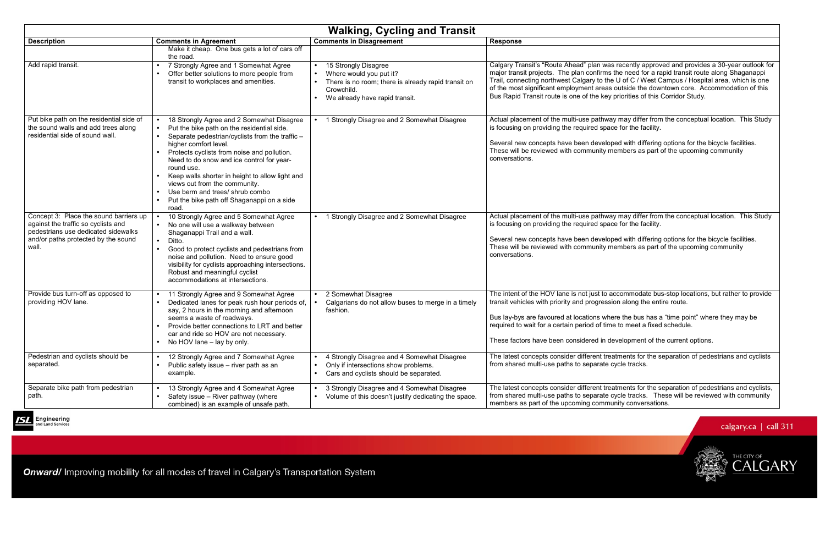| Response                                                                                                                                                                                                                                                                                                                                                                                                                                                                     |
|------------------------------------------------------------------------------------------------------------------------------------------------------------------------------------------------------------------------------------------------------------------------------------------------------------------------------------------------------------------------------------------------------------------------------------------------------------------------------|
|                                                                                                                                                                                                                                                                                                                                                                                                                                                                              |
| Calgary Transit's "Route Ahead" plan was recently approved and provides a 30-year outlook for<br>major transit projects. The plan confirms the need for a rapid transit route along Shaganappi<br>Trail, connecting northwest Calgary to the U of C / West Campus / Hospital area, which is one<br>of the most significant employment areas outside the downtown core. Accommodation of this<br>Bus Rapid Transit route is one of the key priorities of this Corridor Study. |
| Actual placement of the multi-use pathway may differ from the conceptual location. This Study<br>is focusing on providing the required space for the facility.                                                                                                                                                                                                                                                                                                               |
| Several new concepts have been developed with differing options for the bicycle facilities.<br>These will be reviewed with community members as part of the upcoming community<br>conversations.                                                                                                                                                                                                                                                                             |
|                                                                                                                                                                                                                                                                                                                                                                                                                                                                              |
| Actual placement of the multi-use pathway may differ from the conceptual location. This Study<br>is focusing on providing the required space for the facility.                                                                                                                                                                                                                                                                                                               |
| Several new concepts have been developed with differing options for the bicycle facilities.<br>These will be reviewed with community members as part of the upcoming community<br>conversations.                                                                                                                                                                                                                                                                             |
|                                                                                                                                                                                                                                                                                                                                                                                                                                                                              |
| The intent of the HOV lane is not just to accommodate bus-stop locations, but rather to provide<br>transit vehicles with priority and progression along the entire route.                                                                                                                                                                                                                                                                                                    |
| Bus lay-bys are favoured at locations where the bus has a "time point" where they may be<br>required to wait for a certain period of time to meet a fixed schedule                                                                                                                                                                                                                                                                                                           |
| These factors have been considered in development of the current options.                                                                                                                                                                                                                                                                                                                                                                                                    |
| The latest concepts consider different treatments for the separation of pedestrians and cyclists<br>from shared multi-use paths to separate cycle tracks.                                                                                                                                                                                                                                                                                                                    |
| The latest concepts consider different treatments for the separation of pedestrians and cyclists,                                                                                                                                                                                                                                                                                                                                                                            |







| <b>Walking, Cycling and Transit</b>                                                                                                                                  |                                                                                                                                                                                                                                                                                                                                                                                                                                                                                                    |                                                                                                                                                          |                                                                                                                                                                                                                                                                                                                                                                                                                                                                              |
|----------------------------------------------------------------------------------------------------------------------------------------------------------------------|----------------------------------------------------------------------------------------------------------------------------------------------------------------------------------------------------------------------------------------------------------------------------------------------------------------------------------------------------------------------------------------------------------------------------------------------------------------------------------------------------|----------------------------------------------------------------------------------------------------------------------------------------------------------|------------------------------------------------------------------------------------------------------------------------------------------------------------------------------------------------------------------------------------------------------------------------------------------------------------------------------------------------------------------------------------------------------------------------------------------------------------------------------|
| <b>Description</b>                                                                                                                                                   | <b>Comments in Agreement</b>                                                                                                                                                                                                                                                                                                                                                                                                                                                                       | <b>Comments in Disagreement</b>                                                                                                                          | <b>Response</b>                                                                                                                                                                                                                                                                                                                                                                                                                                                              |
|                                                                                                                                                                      | Make it cheap. One bus gets a lot of cars off<br>the road.                                                                                                                                                                                                                                                                                                                                                                                                                                         |                                                                                                                                                          |                                                                                                                                                                                                                                                                                                                                                                                                                                                                              |
| Add rapid transit.                                                                                                                                                   | 7 Strongly Agree and 1 Somewhat Agree<br>Offer better solutions to more people from<br>transit to workplaces and amenities.                                                                                                                                                                                                                                                                                                                                                                        | 15 Strongly Disagree<br>Where would you put it?<br>There is no room; there is already rapid transit on<br>Crowchild.<br>• We already have rapid transit. | Calgary Transit's "Route Ahead" plan was recently approved and provides a 30-year outlook for<br>major transit projects. The plan confirms the need for a rapid transit route along Shaganappi<br>Trail, connecting northwest Calgary to the U of C / West Campus / Hospital area, which is one<br>of the most significant employment areas outside the downtown core. Accommodation of this<br>Bus Rapid Transit route is one of the key priorities of this Corridor Study. |
| Put bike path on the residential side of<br>the sound walls and add trees along<br>residential side of sound wall.                                                   | 18 Strongly Agree and 2 Somewhat Disagree<br>$\bullet$<br>Put the bike path on the residential side.<br>$\bullet$<br>Separate pedestrian/cyclists from the traffic -<br>higher comfort level.<br>Protects cyclists from noise and pollution.<br>Need to do snow and ice control for year-<br>round use.<br>Keep walls shorter in height to allow light and<br>views out from the community.<br>Use berm and trees/ shrub combo<br>Put the bike path off Shaganappi on a side<br>$\bullet$<br>road. | 1 Strongly Disagree and 2 Somewhat Disagree<br>$\bullet$                                                                                                 | Actual placement of the multi-use pathway may differ from the conceptual location. This Study<br>is focusing on providing the required space for the facility.<br>Several new concepts have been developed with differing options for the bicycle facilities.<br>These will be reviewed with community members as part of the upcoming community<br>conversations.                                                                                                           |
| Concept 3: Place the sound barriers up<br>against the traffic so cyclists and<br>pedestrians use dedicated sidewalks<br>and/or paths protected by the sound<br>wall. | 10 Strongly Agree and 5 Somewhat Agree<br>No one will use a walkway between<br>Shaganappi Trail and a wall.<br>Ditto.<br>Good to protect cyclists and pedestrians from<br>noise and pollution. Need to ensure good<br>visibility for cyclists approaching intersections.<br>Robust and meaningful cyclist<br>accommodations at intersections.                                                                                                                                                      | 1 Strongly Disagree and 2 Somewhat Disagree                                                                                                              | Actual placement of the multi-use pathway may differ from the conceptual location. This Study<br>is focusing on providing the required space for the facility.<br>Several new concepts have been developed with differing options for the bicycle facilities.<br>These will be reviewed with community members as part of the upcoming community<br>conversations.                                                                                                           |
| Provide bus turn-off as opposed to<br>providing HOV lane.                                                                                                            | 11 Strongly Agree and 9 Somewhat Agree<br>Dedicated lanes for peak rush hour periods of,<br>say, 2 hours in the morning and afternoon<br>seems a waste of roadways.<br>Provide better connections to LRT and better<br>car and ride so HOV are not necessary.<br>• No HOV lane $-$ lay by only.                                                                                                                                                                                                    | 2 Somewhat Disagree<br>Calgarians do not allow buses to merge in a timely<br>fashion.                                                                    | The intent of the HOV lane is not just to accommodate bus-stop locations, but rather to provide<br>transit vehicles with priority and progression along the entire route.<br>Bus lay-bys are favoured at locations where the bus has a "time point" where they may be<br>required to wait for a certain period of time to meet a fixed schedule.<br>These factors have been considered in development of the current options.                                                |
| Pedestrian and cyclists should be<br>separated.                                                                                                                      | 12 Strongly Agree and 7 Somewhat Agree<br>Public safety issue - river path as an<br>example.                                                                                                                                                                                                                                                                                                                                                                                                       | 4 Strongly Disagree and 4 Somewhat Disagree<br>Only if intersections show problems.<br>$\bullet$<br>Cars and cyclists should be separated.<br>$\bullet$  | The latest concepts consider different treatments for the separation of pedestrians and cyclists<br>from shared multi-use paths to separate cycle tracks.                                                                                                                                                                                                                                                                                                                    |
| Separate bike path from pedestrian<br>path.                                                                                                                          | 13 Strongly Agree and 4 Somewhat Agree<br>Safety issue - River pathway (where<br>combined) is an example of unsafe path.                                                                                                                                                                                                                                                                                                                                                                           | 3 Strongly Disagree and 4 Somewhat Disagree<br>Volume of this doesn't justify dedicating the space.                                                      | The latest concepts consider different treatments for the separation of pedestrians and cyclists,<br>from shared multi-use paths to separate cycle tracks. These will be reviewed with community<br>members as part of the upcoming community conversations.                                                                                                                                                                                                                 |



**Engineering**<br>and Land Services

Onward/ Improving mobility for all modes of travel in Calgary's Transportation System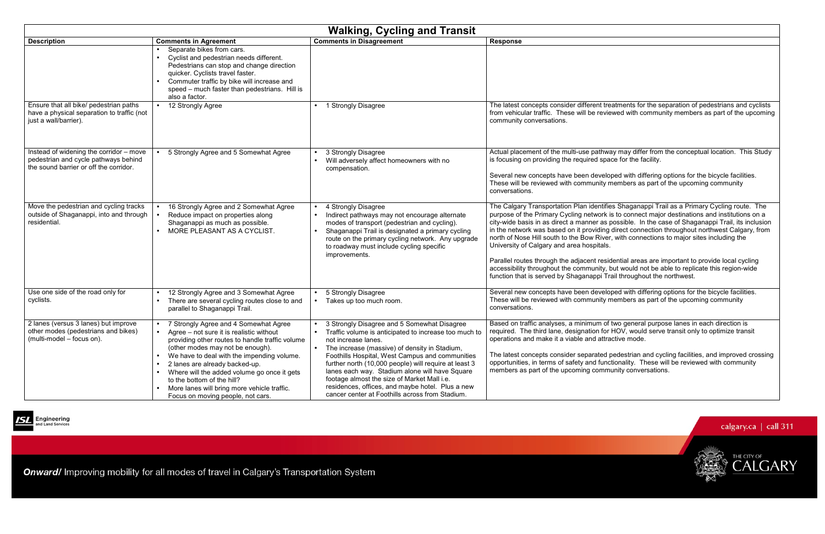| <b>Walking, Cycling and Transit</b>                                                                                       |                                                                                                                                                                                                                                                                                                                                                                                                                                                     |                                                                                                                                                                                                                                                                                                                                                                                                                                                                                                               |                                                                                                                                                                                                                                                                                                                                                                                                                     |
|---------------------------------------------------------------------------------------------------------------------------|-----------------------------------------------------------------------------------------------------------------------------------------------------------------------------------------------------------------------------------------------------------------------------------------------------------------------------------------------------------------------------------------------------------------------------------------------------|---------------------------------------------------------------------------------------------------------------------------------------------------------------------------------------------------------------------------------------------------------------------------------------------------------------------------------------------------------------------------------------------------------------------------------------------------------------------------------------------------------------|---------------------------------------------------------------------------------------------------------------------------------------------------------------------------------------------------------------------------------------------------------------------------------------------------------------------------------------------------------------------------------------------------------------------|
| <b>Description</b>                                                                                                        | <b>Comments in Agreement</b>                                                                                                                                                                                                                                                                                                                                                                                                                        | <b>Comments in Disagreement</b>                                                                                                                                                                                                                                                                                                                                                                                                                                                                               | <b>Response</b>                                                                                                                                                                                                                                                                                                                                                                                                     |
|                                                                                                                           | Separate bikes from cars.<br>Cyclist and pedestrian needs different.<br>Pedestrians can stop and change direction<br>quicker. Cyclists travel faster.<br>Commuter traffic by bike will increase and<br>speed - much faster than pedestrians. Hill is<br>also a factor.                                                                                                                                                                              |                                                                                                                                                                                                                                                                                                                                                                                                                                                                                                               |                                                                                                                                                                                                                                                                                                                                                                                                                     |
| Ensure that all bike/ pedestrian paths<br>have a physical separation to traffic (not<br>just a wall/barrier).             | 12 Strongly Agree<br>$\bullet$                                                                                                                                                                                                                                                                                                                                                                                                                      | 1 Strongly Disagree                                                                                                                                                                                                                                                                                                                                                                                                                                                                                           | The latest concepts consider different trea<br>from vehicular traffic. These will be reviet<br>community conversations.                                                                                                                                                                                                                                                                                             |
| Instead of widening the corridor - move<br>pedestrian and cycle pathways behind<br>the sound barrier or off the corridor. | 5 Strongly Agree and 5 Somewhat Agree<br>$\bullet$                                                                                                                                                                                                                                                                                                                                                                                                  | 3 Strongly Disagree<br>Will adversely affect homeowners with no<br>compensation.                                                                                                                                                                                                                                                                                                                                                                                                                              | Actual placement of the multi-use pathwa<br>is focusing on providing the required spac<br>Several new concepts have been develop<br>These will be reviewed with community m<br>conversations.                                                                                                                                                                                                                       |
| Move the pedestrian and cycling tracks<br>outside of Shaganappi, into and through<br>residential.                         | 16 Strongly Agree and 2 Somewhat Agree<br>Reduce impact on properties along<br>$\bullet$<br>Shaganappi as much as possible.<br>MORE PLEASANT AS A CYCLIST.                                                                                                                                                                                                                                                                                          | 4 Strongly Disagree<br>Indirect pathways may not encourage alternate<br>modes of transport (pedestrian and cycling).<br>Shaganappi Trail is designated a primary cycling<br>route on the primary cycling network. Any upgrade<br>to roadway must include cycling specific<br>improvements.                                                                                                                                                                                                                    | The Calgary Transportation Plan identifie<br>purpose of the Primary Cycling network is<br>city-wide basis in as direct a manner as p<br>in the network was based on it providing<br>north of Nose Hill south to the Bow River,<br>University of Calgary and area hospitals.<br>Parallel routes through the adjacent resid<br>accessibility throughout the community, b<br>function that is served by Shaganappi Tra |
| Use one side of the road only for<br>cyclists.                                                                            | 12 Strongly Agree and 3 Somewhat Agree<br>There are several cycling routes close to and<br>parallel to Shaganappi Trail.                                                                                                                                                                                                                                                                                                                            | 5 Strongly Disagree<br>Takes up too much room.<br>$\bullet$                                                                                                                                                                                                                                                                                                                                                                                                                                                   | Several new concepts have been develop<br>These will be reviewed with community m<br>conversations.                                                                                                                                                                                                                                                                                                                 |
| 2 lanes (versus 3 lanes) but improve<br>other modes (pedestrians and bikes)<br>(multi-model – focus on).                  | 7 Strongly Agree and 4 Somewhat Agree<br>Agree – not sure it is realistic without<br>$\bullet$<br>providing other routes to handle traffic volume<br>(other modes may not be enough).<br>We have to deal with the impending volume.<br>2 lanes are already backed-up.<br>Where will the added volume go once it gets<br>to the bottom of the hill?<br>More lanes will bring more vehicle traffic.<br>$\bullet$<br>Focus on moving people, not cars. | 3 Strongly Disagree and 5 Somewhat Disagree<br>Traffic volume is anticipated to increase too much to<br>not increase lanes.<br>The increase (massive) of density in Stadium,<br>$\bullet$<br>Foothills Hospital, West Campus and communities<br>further north (10,000 people) will require at least 3<br>lanes each way. Stadium alone will have Square<br>footage almost the size of Market Mall i.e.<br>residences, offices, and maybe hotel. Plus a new<br>cancer center at Foothills across from Stadium. | Based on traffic analyses, a minimum of t<br>required. The third lane, designation for I<br>operations and make it a viable and attra<br>The latest concepts consider separated p<br>opportunities, in terms of safety and funct<br>members as part of the upcoming commu                                                                                                                                           |



**Engineering**<br>and Land Services

Onward/ Improving mobility for all modes of travel in Calgary's Transportation System

treatments for the separation of pedestrians and cyclists viewed with community members as part of the upcoming

way may differ from the conceptual location. This Study pace for the facility.

loped with differing options for the bicycle facilities. members as part of the upcoming community

ifies Shaganappi Trail as a Primary Cycling route. The purpose of the Primary Cycling network is to connect major destinations and institutions on a city-wide basis in as direct a manner as possible. In the case of Shaganappi Trail, its inclusion in the network was based on it providing direct connection throughout northwest Calgary, from ver, with connections to major sites including the

sidential areas are important to provide local cycling accessibility throughout the community, but would not be able to replicate this region-wide Trail throughout the northwest.

> eloped with differing options for the bicycle facilities. members as part of the upcoming community

of two general purpose lanes in each direction is required. The third lane, designation for HOV, would serve transit only to optimize transit tractive mode.

> d pedestrian and cycling facilities, and improved crossing nctionality. These will be reviewed with community munity conversations.



CALGARY

THE CITY OF

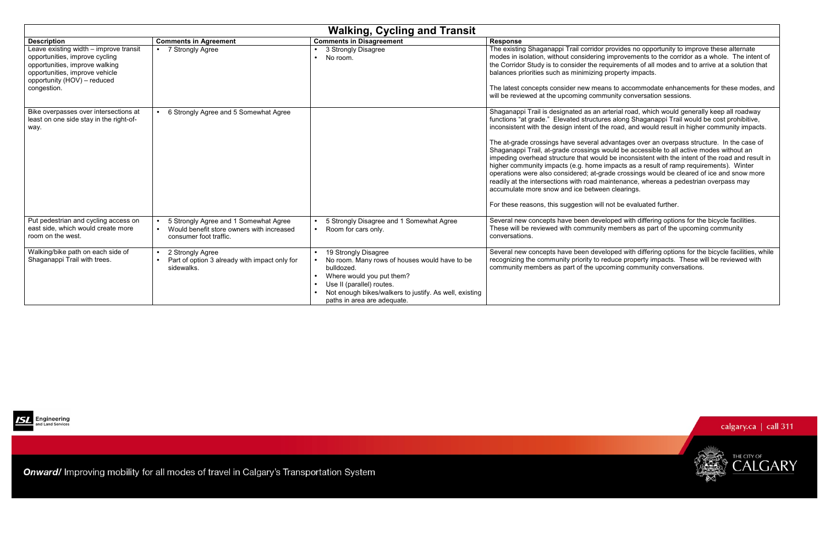arterial road, which would generally keep all roadway es along Shaganappi Trail would be cost prohibitive, inconsistent with the design intent of the road, and would result in higher community impacts.

dvantages over an overpass structure. In the case of vould be accessible to all active modes without an impeding overhead structure that would be inconsistent with the intent of the road and result in impacts as a result of ramp requirements). Winter operations were also considered; at-grade crossings would be cleared of ice and snow more raintenance, whereas a pedestrian overpass may en clearings.

not be evaluated further.

eloped with differing options for the bicycle facilities. members as part of the upcoming community

eloped with differing options for the bicycle facilities, while educe property impacts. These will be reviewed with coming community conversations.



|                                                                                                                                                                                            | <b>Walking, Cycling and Transit</b>                                                                          |                                                                                                                                                                                                                                                     |                                                                                                                                                                                                                                                                                                                                                                                                                                                                                  |
|--------------------------------------------------------------------------------------------------------------------------------------------------------------------------------------------|--------------------------------------------------------------------------------------------------------------|-----------------------------------------------------------------------------------------------------------------------------------------------------------------------------------------------------------------------------------------------------|----------------------------------------------------------------------------------------------------------------------------------------------------------------------------------------------------------------------------------------------------------------------------------------------------------------------------------------------------------------------------------------------------------------------------------------------------------------------------------|
| <b>Description</b>                                                                                                                                                                         | <b>Comments in Agreement</b>                                                                                 | <b>Comments in Disagreement</b>                                                                                                                                                                                                                     | <b>Response</b>                                                                                                                                                                                                                                                                                                                                                                                                                                                                  |
| Leave existing width - improve transit<br>opportunities, improve cycling<br>opportunities, improve walking<br>opportunities, improve vehicle<br>opportunity (HOV) - reduced<br>congestion. | 7 Strongly Agree                                                                                             | 3 Strongly Disagree<br>No room.                                                                                                                                                                                                                     | The existing Shaganappi Trail corridor<br>modes in isolation, without considering<br>the Corridor Study is to consider the re-<br>balances priorities such as minimizing<br>The latest concepts consider new mear<br>will be reviewed at the upcoming comm                                                                                                                                                                                                                       |
| Bike overpasses over intersections at<br>least on one side stay in the right-of-<br>way.                                                                                                   | 6 Strongly Agree and 5 Somewhat Agree                                                                        |                                                                                                                                                                                                                                                     | Shaganappi Trail is designated as an a<br>functions "at grade." Elevated structure<br>inconsistent with the design intent of th<br>The at-grade crossings have several ad<br>Shaganappi Trail, at-grade crossings w<br>impeding overhead structure that would<br>higher community impacts (e.g. home i<br>operations were also considered; at-gra<br>readily at the intersections with road ma<br>accumulate more snow and ice betwee<br>For these reasons, this suggestion will |
| Put pedestrian and cycling access on<br>east side, which would create more<br>room on the west.                                                                                            | 5 Strongly Agree and 1 Somewhat Agree<br>Would benefit store owners with increased<br>consumer foot traffic. | 5 Strongly Disagree and 1 Somewhat Agree<br>Room for cars only.                                                                                                                                                                                     | Several new concepts have been deve<br>These will be reviewed with community<br>conversations.                                                                                                                                                                                                                                                                                                                                                                                   |
| Walking/bike path on each side of<br>Shaganappi Trail with trees.                                                                                                                          | 2 Strongly Agree<br>Part of option 3 already with impact only for<br>sidewalks.                              | 19 Strongly Disagree<br>No room. Many rows of houses would have to be<br>bulldozed.<br>Where would you put them?<br>$\bullet$<br>Use II (parallel) routes.<br>Not enough bikes/walkers to justify. As well, existing<br>paths in area are adequate. | Several new concepts have been deve<br>recognizing the community priority to re<br>community members as part of the upo                                                                                                                                                                                                                                                                                                                                                          |



Onward/ Improving mobility for all modes of travel in Calgary's Transportation System

provides no opportunity to improve these alternate modes in isolation, without considering improvements to the corridor as a whole. The intent of the Corridor Study is to consider the requirements of all modes and to arrive at a solution that property impacts.

> Ins to accommodate enhancements for these modes, and munity conversation sessions.